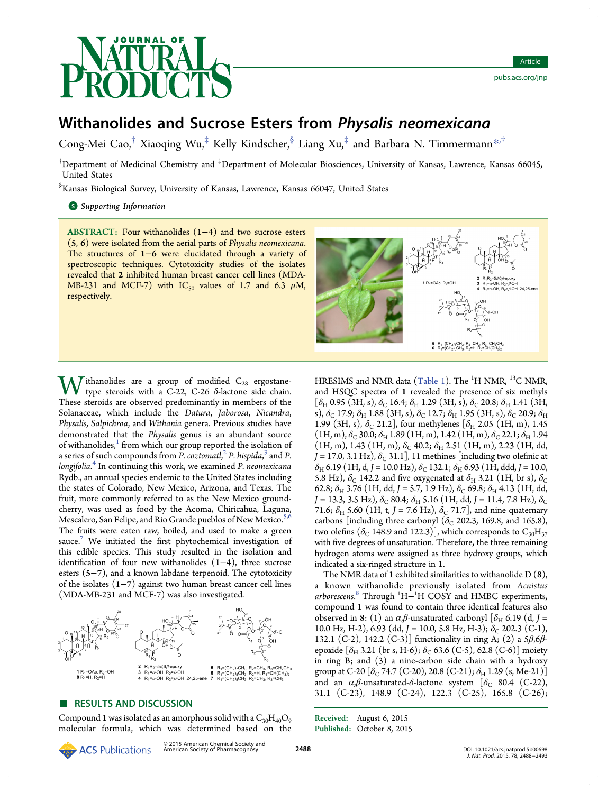

# Withanolides and Sucrose Esters from Physalis neomexicana

Cong-Mei Cao, $^{\dagger}$  Xiaoqing Wu, $^{\dagger}$  Kelly Kindscher, $^{\S}$  Liang Xu, $^{\dagger}$  and Barbara N. Timmermann\*, $^{\dagger}$ ,

 $^\dagger$ Department of Medicinal Chemistry and  $^\ddagger$ Department of Molecular Biosciences, University of [Kan](#page-4-0)sas, Lawrence, Kansas 66045, United States

 $\mathrm{N}\times\mathrm{N}$   $\mathrm{N}$   $\mathrm{N}$   $\mathrm{N}$   $\mathrm{N}$   $\mathrm{N}$   $\mathrm{N}$   $\mathrm{N}$   $\mathrm{N}$   $\mathrm{N}$   $\mathrm{N}$   $\mathrm{N}$   $\mathrm{N}$   $\mathrm{N}$   $\mathrm{N}$   $\mathrm{N}$   $\mathrm{N}$   $\mathrm{N}$   $\mathrm{N}$   $\mathrm{N}$   $\mathrm{N}$   $\mathrm{N}$   $\mathrm{N}$   $\mathrm{N}$   $\mathrm{N}$   $\mathrm{N}$   $\mathrm{N}$ 

### **S** Supporting Information

[AB](#page-4-0)STRACT: [Four withano](#page-4-0)lides (1−4) and two sucrose esters (5, 6) were isolated from the aerial parts of Physalis neomexicana. The structures of 1−6 were elucidated through a variety of spectroscopic techniques. Cytotoxicity studies of the isolates revealed that 2 inhibited human breast cancer cell lines (MDA-MB-231 and MCF-7) with  $IC_{50}$  values of 1.7 and 6.3  $\mu$ M, respectively.



**T**ithanolides are a group of modified  $C_{28}$  ergostanetype steroids with a C-22, C-26  $\delta$ -lactone side chain. These steroids are observed predominantly in members of the Solanaceae, which include the Datura, Jaborosa, Nicandra, Physalis, Salpichroa, and Withania genera. Previous studies have demonstrated that the Physalis genus is an abundant source of withanolides,<sup>1</sup> from which our group reported the isolation of a series of such compounds from P. coztomatl, $^2$  P. hispida, $^3$  and P. l[on](#page-4-0)gifolia.<sup>4</sup> In continuing this work, we examined P. neomexicana Rydb., an annual species endemic to the Unit[e](#page-4-0)d States i[nc](#page-5-0)luding the state[s](#page-5-0) of Colorado, New Mexico, Arizona, and Texas. The fruit, more commonly referred to as the New Mexico groundcherry, was used as food by the Acoma, Chiricahua, Laguna, Mescalero, San Felipe, and Rio Grande pueblos of New Mexico.<sup>5,6</sup> The fruits were eaten raw, boiled, and used to make a green sauce.<sup>7</sup> We initiated the first phytochemical investigation [of](#page-5-0) this edible species. This study resulted in the isolation and identi[fi](#page-5-0)cation of four new withanolides (1−4), three sucrose esters (5−7), and a known labdane terpenoid. The cytotoxicity of the isolates (1−7) against two human breast cancer cell lines (MDA-MB-231 and MCF-7) was also investigated.



## RESULTS AND DISCUSSION

Compound 1 was isolated as an amorphous solid with a  $C_{30}H_{40}O_9$ molecular formula, which was determined based on the

HRESIMS and NMR data (Table 1). The <sup>1</sup>H NMR, <sup>13</sup>C NMR, and HSQC spectra of 1 revealed the presence of six methyls  $[\delta_{\rm H}$  0.95 (3H, s),  $\delta_{\rm C}$  16.4;  $\delta_{\rm H}$  [1.29 \(3](#page-1-0)H, s),  $\delta_{\rm C}$  20.8;  $\delta_{\rm H}$  1.41 (3H, s),  $\delta_{\rm C}$  17.9;  $\delta_{\rm H}$  1.88 (3H, s),  $\delta_{\rm C}$  12.7;  $\delta_{\rm H}$  1.95 (3H, s),  $\delta_{\rm C}$  20.9;  $\delta_{\rm H}$ 1.99 (3H, s),  $\delta_C$  21.2], four methylenes [ $\delta_H$  2.05 (1H, m), 1.45  $(1H, m), \delta_C 30.0; \delta_H 1.89 (1H, m), 1.42 (1H, m), \delta_C 22.1; \delta_H 1.94$  $(1H, m)$ , 1.43  $(1H, m)$ ,  $\delta_C$  40.2;  $\delta_H$  2.51  $(1H, m)$ , 2.23  $(1H, dd,$  $J = 17.0, 3.1 \text{ Hz}$ ,  $\delta_C 31.1$ , 11 methines [including two olefinic at  $\delta_{\rm H}$  6.19 (1H, d, J = 10.0 Hz),  $\delta_{\rm C}$  132.1;  $\delta_{\rm H}$  6.93 (1H, ddd, J = 10.0, 5.8 Hz),  $\delta_{\rm C}$  142.2 and five oxygenated at  $\delta_{\rm H}$  3.21 (1H, br s),  $\delta_{\rm C}$ 62.8;  $\delta_H$  3.76 (1H, dd, J = 5.7, 1.9 Hz),  $\delta_C$  69.8;  $\delta_H$  4.13 (1H, dd,  $J = 13.3, 3.5 \text{ Hz}$ ),  $\delta_{\text{C}}$  80.4;  $\delta_{\text{H}}$  5.16 (1H, dd, J = 11.4, 7.8 Hz),  $\delta_{\text{C}}$ 71.6;  $\delta_{\rm H}$  5.60 (1H, t, J = 7.6 Hz),  $\delta_{\rm C}$  71.7], and nine quaternary carbons [including three carbonyl ( $\delta$ <sub>C</sub> 202.3, 169.8, and 165.8), two olefins ( $\delta$ <sub>C</sub> 148.9 and 122.3)], which corresponds to  $C_{30}H_{37}$ with five degrees of unsaturation. Therefore, the three remaining hydrogen atoms were assigned as three hydroxy groups, which indicated a six-ringed structure in 1.

The NMR data of 1 exhibited similarities to withanolide  $D(8)$ , a known withanolide previously isolated from Acnistus arborescens.  $8$  Through  $1\text{H}-1\text{H}$  COSY and HMBC experiments, compound 1 was found to contain three identical features also observed i[n](#page-5-0) 8: (1) an  $\alpha$ , $\beta$ -unsaturated carbonyl [ $\delta$ <sub>H</sub> 6.19 (d, J = 10.0 Hz, H-2), 6.93 (dd, J = 10.0, 5.8 Hz, H-3);  $\delta_C$  202.3 (C-1), 132.1 (C-2), 142.2 (C-3)] functionality in ring A; (2) a  $5\beta,6\beta$ epoxide  $[\delta_{\rm H} 3.21$  (br s, H-6);  $\delta_{\rm C}$  63.6 (C-5), 62.8 (C-6)] moiety in ring B; and (3) a nine-carbon side chain with a hydroxy group at C-20  $[\delta_C$  74.7 (C-20), 20.8 (C-21);  $\delta_H$  1.29 (s, Me-21)] and an  $\alpha$ , $\beta$ -unsaturated- $\delta$ -lactone system  $[\delta_C$  80.4 (C-22), 31.1 (C-23), 148.9 (C-24), 122.3 (C-25), 165.8 (C-26);

Received: August 6, 2015 Published: October 8, 2015

**ACS** Publications

© 2015 American Chemical Society and American Society of Pharmacognosy 2488 DOI: 10.1021/acs.jnatprod.5b00698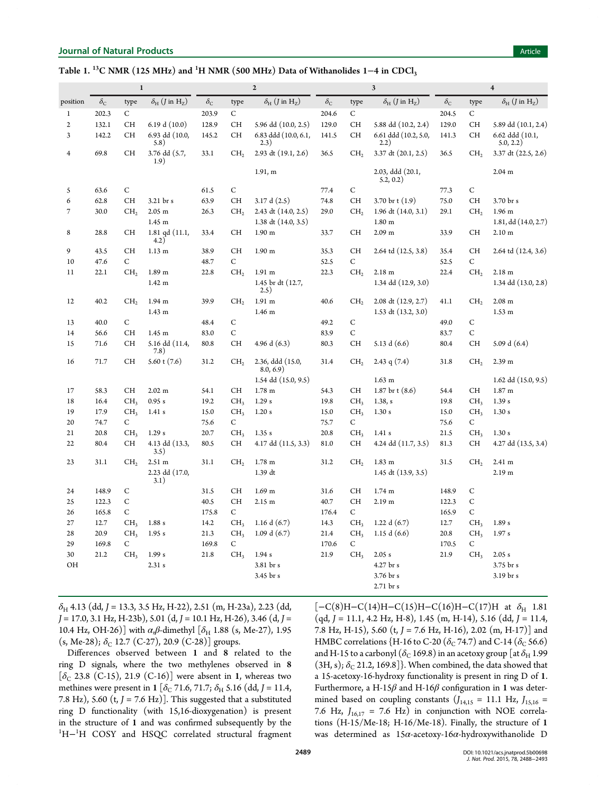# <span id="page-1-0"></span>Table 1.  $^{13}$ C NMR (125 MHz) and  $^{1}$ H NMR (500 MHz) Data of Withanolides 1−4 in CDCl $_{3}$

|                  | $\mathbf 1$      |                 |                                                 | $\overline{2}$   |                 |                                                 | $\overline{\mathbf{3}}$ |                 |                                                 | $\overline{\mathbf{4}}$ |                 |                                                 |
|------------------|------------------|-----------------|-------------------------------------------------|------------------|-----------------|-------------------------------------------------|-------------------------|-----------------|-------------------------------------------------|-------------------------|-----------------|-------------------------------------------------|
| position         | $\delta_{\rm C}$ | type            | $\delta_{\rm H}$ ( <i>J</i> in H <sub>Z</sub> ) | $\delta_{\rm C}$ | type            | $\delta_{\rm H}$ ( <i>J</i> in H <sub>Z</sub> ) | $\delta_{\rm C}$        | type            | $\delta_{\rm H}$ ( <i>J</i> in H <sub>Z</sub> ) | $\delta_{\rm C}$        | type            | $\delta_{\rm H}$ ( <i>J</i> in H <sub>Z</sub> ) |
| $\mathbf{1}$     | 202.3            | C               |                                                 | 203.9            | C               |                                                 | 204.6                   | $\mathbf C$     |                                                 | 204.5                   | $\mathsf{C}$    |                                                 |
| $\boldsymbol{2}$ | 132.1            | СH              | 6.19 d $(10.0)$                                 | 128.9            | CH              | 5.96 dd (10.0, 2.5)                             | 129.0                   | <b>CH</b>       | 5.88 dd (10.2, 2.4)                             | 129.0                   | <b>CH</b>       | 5.89 dd (10.1, 2.4)                             |
| 3                | 142.2            | CH              | 6.93 dd (10.0,<br>(5.8)                         | 145.2            | CH              | 6.83 ddd (10.0, 6.1,<br>2.3)                    | 141.5                   | <b>CH</b>       | 6.61 ddd (10.2, 5.0,<br>2.2)                    | 141.3                   | <b>CH</b>       | 6.62 ddd (10.1,<br>5.0, 2.2)                    |
| 4                | 69.8             | СH              | 3.76 dd (5.7,<br>1.9)                           | 33.1             | CH <sub>2</sub> | $2.93$ dt $(19.1, 2.6)$                         | 36.5                    | CH <sub>2</sub> | 3.37 dt (20.1, 2.5)                             | 36.5                    | CH <sub>2</sub> | $3.37$ dt $(22.5, 2.6)$                         |
|                  |                  |                 |                                                 |                  |                 | 1.91, m                                         |                         |                 | 2.03, ddd (20.1,<br>5.2, 0.2)                   |                         |                 | 2.04 <sub>m</sub>                               |
| 5                | 63.6             | ${\bf C}$       |                                                 | 61.5             | ${\bf C}$       |                                                 | 77.4                    | $\mathsf C$     |                                                 | 77.3                    | $\mathsf C$     |                                                 |
| 6                | 62.8             | СH              | 3.21 br s                                       | 63.9             | CH              | 3.17 d $(2.5)$                                  | 74.8                    | <b>CH</b>       | 3.70 br t (1.9)                                 | 75.0                    | <b>CH</b>       | 3.70 br s                                       |
| 7                | 30.0             | CH <sub>2</sub> | 2.05 m                                          | 26.3             | CH <sub>2</sub> | 2.43 dt (14.0, 2.5)                             | 29.0                    | CH <sub>2</sub> | 1.96 dt (14.0, 3.1)                             | 29.1                    | CH <sub>2</sub> | 1.96 m                                          |
|                  |                  |                 | $1.45 \text{ m}$                                |                  |                 | 1.38 dt $(14.0, 3.5)$                           |                         |                 | 1.80 <sub>m</sub>                               |                         |                 | 1.81, dd $(14.0, 2.7)$                          |
| 8                | 28.8             | CН              | 1.81 qd (11.1,<br>4.2)                          | 33.4             | СH              | 1.90 <sub>m</sub>                               | 33.7                    | СH              | 2.09 <sub>m</sub>                               | 33.9                    | CH              | 2.10 m                                          |
| 9                | 43.5             | СH              | $1.13 \text{ m}$                                | 38.9             | <b>CH</b>       | 1.90 <sub>m</sub>                               | 35.3                    | <b>CH</b>       | 2.64 td (12.5, 3.8)                             | 35.4                    | <b>CH</b>       | 2.64 td (12.4, 3.6)                             |
| 10               | 47.6             | C               |                                                 | 48.7             | ${\bf C}$       |                                                 | 52.5                    | $\mathbf C$     |                                                 | 52.5                    | ${\bf C}$       |                                                 |
| 11               | 22.1             | CH <sub>2</sub> | 1.89 m                                          | 22.8             | CH <sub>2</sub> | 1.91 m                                          | 22.3                    | CH <sub>2</sub> | $2.18 \text{ m}$                                | 22.4                    | CH <sub>2</sub> | $2.18 \text{ m}$                                |
|                  |                  |                 | $1.42 \text{ m}$                                |                  |                 | 1.45 br dt (12.7,<br>2.5)                       |                         |                 | 1.34 dd (12.9, 3.0)                             |                         |                 | 1.34 dd (13.0, 2.8)                             |
| 12               | 40.2             | CH <sub>2</sub> | $1.94$ m                                        | 39.9             | CH <sub>2</sub> | 1.91 <sub>m</sub>                               | 40.6                    | CH <sub>2</sub> | $2.08$ dt $(12.9, 2.7)$                         | 41.1                    | CH <sub>2</sub> | $2.08$ m                                        |
|                  |                  |                 | 1.43 <sub>m</sub>                               |                  |                 | 1.46 <sub>m</sub>                               |                         |                 | 1.53 dt (13.2, 3.0)                             |                         |                 | $1.53 \text{ m}$                                |
| 13               | 40.0             | ${\bf C}$       |                                                 | 48.4             | ${\bf C}$       |                                                 | 49.2                    | $\mathsf C$     |                                                 | 49.0                    | ${\bf C}$       |                                                 |
| 14               | 56.6             | СH              | $1.45 \text{ m}$                                | 83.0             | ${\bf C}$       |                                                 | 83.9                    | $\mathsf C$     |                                                 | 83.7                    | $\mathsf C$     |                                                 |
| 15               | 71.6             | СH              | 5.16 dd (11.4,<br>7.8)                          | 80.8             | <b>CH</b>       | 4.96 d $(6.3)$                                  | 80.3                    | <b>CH</b>       | 5.13 d $(6.6)$                                  | 80.4                    | <b>CH</b>       | 5.09 d $(6.4)$                                  |
| 16               | 71.7             | CH              | 5.60 t $(7.6)$                                  | 31.2             | CH <sub>2</sub> | 2.36, ddd (15.0,<br>8.0, 6.9)                   | 31.4                    | CH <sub>2</sub> | 2.43 q $(7.4)$                                  | 31.8                    | CH <sub>2</sub> | 2.39 <sub>m</sub>                               |
|                  |                  |                 |                                                 |                  |                 | 1.54 dd (15.0, 9.5)                             |                         |                 | $1.63 \; m$                                     |                         |                 | 1.62 dd (15.0, 9.5)                             |
| 17               | 58.3             | CН              | $2.02 \text{ m}$                                | 54.1             | CH              | $1.78$ m                                        | 54.3                    | <b>CH</b>       | 1.87 br $t(8.6)$                                | 54.4                    | <b>CH</b>       | 1.87 <sub>m</sub>                               |
| 18               | 16.4             | CH <sub>3</sub> | 0.95 s                                          | 19.2             | CH <sub>3</sub> | 1.29s                                           | 19.8                    | CH <sub>3</sub> | 1.38, s                                         | 19.8                    | CH <sub>3</sub> | 1.39 s                                          |
| 19               | 17.9             | CH <sub>3</sub> | 1.41 s                                          | 15.0             | CH <sub>3</sub> | 1.20 s                                          | 15.0                    | CH <sub>3</sub> | 1.30 s                                          | 15.0                    | CH <sub>3</sub> | 1.30 s                                          |
| 20               | 74.7             | C               |                                                 | 75.6             | C               |                                                 | 75.7                    | $\mathsf{C}$    |                                                 | 75.6                    | $\mathsf{C}$    |                                                 |
| 21               | 20.8             | CH <sub>3</sub> | 1.29s                                           | 20.7             | CH <sub>3</sub> | 1.35 s                                          | 20.8                    | CH <sub>3</sub> | 1.41 s                                          | 21.5                    | CH <sub>3</sub> | 1.30 s                                          |
| 22               | 80.4             | СH              | 4.13 dd (13.3,<br>3.5)                          | 80.5             | <b>CH</b>       | 4.17 dd (11.5, 3.3)                             | 81.0                    | CH              | 4.24 dd (11.7, 3.5)                             | 81.3                    | <b>CH</b>       | 4.27 dd (13.5, 3.4)                             |
| 23               | 31.1             | CH <sub>2</sub> | $2.51 \text{ m}$                                | 31.1             | CH <sub>2</sub> | $1.78 \text{ m}$                                | 31.2                    | CH <sub>2</sub> | 1.83 <sub>m</sub>                               | 31.5                    | CH <sub>2</sub> | 2.41 <sub>m</sub>                               |
|                  |                  |                 | 2.23 dd (17.0,<br>3.1)                          |                  |                 | 1.39 dt                                         |                         |                 | 1.45 dt (13.9, 3.5)                             |                         |                 | 2.19 <sub>m</sub>                               |
| 24               | 148.9            | ${\bf C}$       |                                                 | 31.5             | CH              | 1.69 <sub>m</sub>                               | 31.6                    | <b>CH</b>       | $1.74 \text{ m}$                                | 148.9                   | $\mathsf C$     |                                                 |
| 25               | 122.3            | C               |                                                 | 40.5             | <b>CH</b>       | 2.15 m                                          | 40.7                    | <b>CH</b>       | 2.19 <sub>m</sub>                               | 122.3                   | $\mathsf C$     |                                                 |
| 26               | 165.8            | $\mathsf{C}$    |                                                 | 175.8            | C               |                                                 | 176.4                   | C               |                                                 | 165.9                   | $\mathsf C$     |                                                 |
| 27               | 12.7             | CH <sub>3</sub> | 1.88s                                           | 14.2             | CH <sub>3</sub> | 1.16 d $(6.7)$                                  | 14.3                    | CH <sub>3</sub> | 1.22 d $(6.7)$                                  | 12.7                    | CH <sub>3</sub> | 1.89s                                           |
| 28               | 20.9             | CH <sub>3</sub> | 1.95 s                                          | 21.3             | CH <sub>3</sub> | 1.09 d $(6.7)$                                  | 21.4                    | CH <sub>3</sub> | 1.15 d $(6.6)$                                  | 20.8                    | CH <sub>3</sub> | 1.97 s                                          |
| 29               | 169.8            | С               |                                                 | 169.8            | C               |                                                 | 170.6                   | C               |                                                 | 170.5                   | ${\bf C}$       |                                                 |
| 30               | 21.2             | CH <sub>3</sub> | $1.99\ {\rm s}$                                 | 21.8             | CH <sub>3</sub> | 1.94 s                                          | 21.9                    | CH <sub>3</sub> | 2.05 s                                          | 21.9                    | CH <sub>3</sub> | 2.05 s                                          |
| OH               |                  |                 | 2.31 s                                          |                  |                 | 3.81 br s                                       |                         |                 | 4.27 br s                                       |                         |                 | 3.75 br s                                       |
|                  |                  |                 |                                                 |                  |                 | 3.45 br s                                       |                         |                 | 3.76 br s<br>2.71 br s                          |                         |                 | 3.19 br s                                       |

 $\delta_H$  4.13 (dd, J = 13.3, 3.5 Hz, H-22), 2.51 (m, H-23a), 2.23 (dd,  $J = 17.0, 3.1$  Hz, H-23b), 5.01 (d,  $J = 10.1$  Hz, H-26), 3.46 (d,  $J =$ 10.4 Hz, OH-26)] with  $\alpha$ , $\beta$ -dimethyl [ $\delta$ <sub>H</sub> 1.88 (s, Me-27), 1.95 (s, Me-28);  $\delta_c$  12.7 (C-27), 20.9 (C-28)] groups.

Differences observed between 1 and 8 related to the ring D signals, where the two methylenes observed in 8  $[\delta_C$  23.8 (C-15), 21.9 (C-16)] were absent in 1, whereas two methines were present in 1  $[\delta_{\rm C}$  71.6, 71.7;  $\delta_{\rm H}$  5.16 (dd, J = 11.4, 7.8 Hz), 5.60 (t,  $J = 7.6$  Hz)]. This suggested that a substituted ring D functionality (with 15,16-dioxygenation) is present in the structure of 1 and was confirmed subsequently by the <sup>1</sup>H<sup>-1</sup>H COSY and HSQC correlated structural fragment  $[-C(8)H-C(14)H-C(15)H-C(16)H-C(17)H$  at  $\delta_H$  1.81  $\text{(qd, } J = 11.1, 4.2 \text{ Hz, H-8)}$ , 1.45 (m, H-14), 5.16 (dd,  $J = 11.4$ , 7.8 Hz, H-15), 5.60 (t,  $J = 7.6$  Hz, H-16), 2.02 (m, H-17)] and HMBC correlations {H-16 to C-20 ( $\delta_{\rm C}$  74.7) and C-14 ( $\delta_{\rm C}$  56.6) and H-15 to a carbonyl ( $\delta$ <sub>C</sub> 169.8) in an acetoxy group [at  $\delta$ <sub>H</sub> 1.99 (3H, s);  $\delta_c$  21.2, 169.8]}. When combined, the data showed that a 15-acetoxy-16-hydroxy functionality is present in ring D of 1. Furthermore, a H-15 $\beta$  and H-16 $\beta$  configuration in 1 was determined based on coupling constants  $(J_{14,15} = 11.1 \text{ Hz}, J_{15,16} =$ 7.6 Hz,  $J_{16,17}$  = 7.6 Hz) in conjunction with NOE correlations (H-15/Me-18; H-16/Me-18). Finally, the structure of 1 was determined as  $15\alpha$ -acetoxy-16 $\alpha$ -hydroxywithanolide D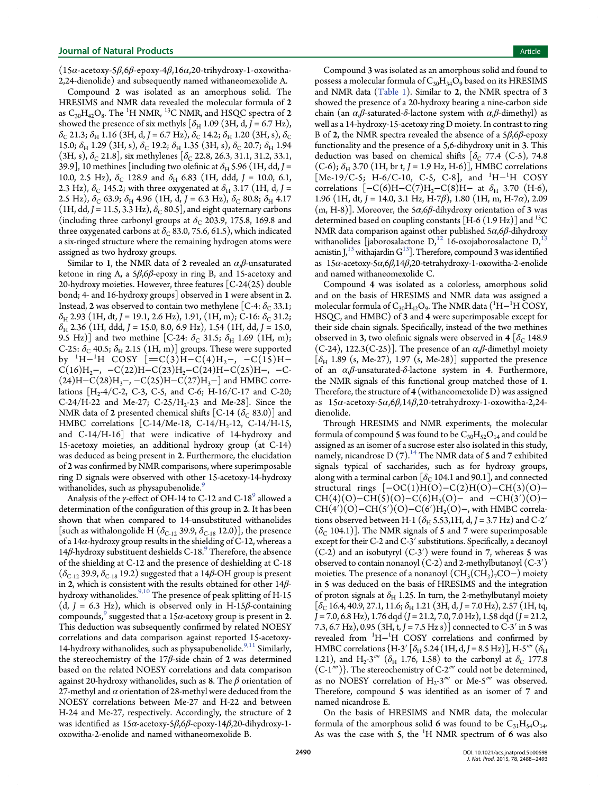$(15\alpha$ -acetoxy-5β,6β-epoxy-4β,16 $\alpha$ ,20-trihydroxy-1-oxowitha-2,24-dienolide) and subsequently named withaneomexolide A.

Compound 2 was isolated as an amorphous solid. The HRESIMS and NMR data revealed the molecular formula of 2 as  $\rm C_{30}H_{42}O_8$ . The  $^1\rm H$  NMR,  $^{13}\rm C$  NMR, and HSQC spectra of  $\rm 2$ showed the presence of six methyls  $[\delta_H 1.09 (3H, d, J = 6.7 Hz)$ ,  $\delta_{\rm C}$  21.3;  $\delta_{\rm H}$  1.16 (3H, d, J = 6.7 Hz),  $\delta_{\rm C}$  14.2;  $\delta_{\rm H}$  1.20 (3H, s),  $\delta_{\rm C}$ 15.0;  $\delta_H$  1.29 (3H, s),  $\delta_C$  19.2;  $\delta_H$  1.35 (3H, s),  $\delta_C$  20.7;  $\delta_H$  1.94  $(3H, s), \delta_C 21.8$ , six methylenes  $[\delta_C 22.8, 26.3, 31.1, 31.2, 33.1,$ 39.9], 10 methines [including two olefinic at  $\delta_H$  5.96 (1H, dd, J = 10.0, 2.5 Hz),  $\delta_C$  128.9 and  $\delta_H$  6.83 (1H, ddd, J = 10.0, 6.1, 2.3 Hz),  $\delta_C$  145.2; with three oxygenated at  $\delta_H$  3.17 (1H, d, J = 2.5 Hz),  $\delta_C$  63.9;  $\delta_H$  4.96 (1H, d, J = 6.3 Hz),  $\delta_C$  80.8;  $\delta_H$  4.17 (1H, dd, J = 11.5, 3.3 Hz),  $\delta_C$  80.5], and eight quaternary carbons (including three carbonyl groups at  $\delta_{\rm C}$  203.9, 175.8, 169.8 and three oxygenated carbons at  $\delta_{\rm C}$  83.0, 75.6, 61.5), which indicated a six-ringed structure where the remaining hydrogen atoms were assigned as two hydroxy groups.

Similar to 1, the NMR data of 2 revealed an  $\alpha$ , $\beta$ -unsaturated ketone in ring A, a  $5\beta$ , 6 $\beta$ -epoxy in ring B, and 15-acetoxy and 20-hydroxy moieties. However, three features [C-24(25) double bond; 4- and 16-hydroxy groups] observed in 1 were absent in 2. Instead, 2 was observed to contain two methylene [C-4:  $\delta_c$  33.1;  $\delta_H$  2.93 (1H, dt, J = 19.1, 2.6 Hz), 1.91, (1H, m); C-16:  $\delta_C$  31.2;  $\delta_H$  2.36 (1H, ddd, J = 15.0, 8.0, 6.9 Hz), 1.54 (1H, dd, J = 15.0, 9.5 Hz)] and two methine [C-24:  $\delta_{\rm C}$  31.5;  $\delta_{\rm H}$  1.69 (1H, m); C-25:  $\delta_{\rm C}$  40.5;  $\delta_{\rm H}$  2.15 (1H, m)] groups. These were supported by  ${}^{1}H-{}^{1}H$  COSY [=C(3)H-C(4)H<sub>2</sub>-, -C(15)H-C(16)H<sub>2</sub>−, −C(22)H−C(23)H<sub>2</sub>−C(24)H−C(25)H−, −C- $(24)H-C(28)H_3$ –,  $-C(25)H-C(27)H_3$ –] and HMBC correlations  $[H_2-4/C-2, C-3, C-5, and C-6; H-16/C-17 and C-20;$ C-24/H-22 and Me-27; C-25/H<sub>2</sub>-23 and Me-28]. Since the NMR data of 2 presented chemical shifts [C-14 ( $\delta$ <sub>C</sub> 83.0)] and HMBC correlations [C-14/Me-18, C-14/H<sub>2</sub>-12, C-14/H-15, and C-14/H-16] that were indicative of 14-hydroxy and 15-acetoxy moieties, an additional hydroxy group (at C-14) was deduced as being present in 2. Furthermore, the elucidation of 2 was confirmed by NMR comparisons, where superimposable ring D signals were observed with other 15-acetoxy-14-hydroxy withanolides, such as physapubenolide.<sup>9</sup>

Analysis of the  $\gamma$ -effect of OH-14 to C-12 and C-18<sup>9</sup> allowed a determination of the configuration of t[hi](#page-5-0)s group in 2. It has been shown that when compared to 14-unsubstituted w[it](#page-5-0)hanolides [such as withalongolide H ( $\delta_{C-12}$  39.9,  $\delta_{C-18}$  12.0)], the presence of a 14 $\alpha$ -hydroxy group results in the shielding of C-12, whereas a 14β-hydroxy substituent deshields C-18.<sup>9</sup> Therefore, the absence of the shielding at C-12 and the presence of deshielding at C-18  $(\delta_{\rm C\text{-}12}$ 39.9, $\delta_{\rm C\text{-}18}$ 19.2) suggested that a [14](#page-5-0) $\beta$ -OH group is present in 2, which is consistent with the results obtained for other  $14\beta$ hydroxy withanolides.<sup>9,10</sup> The presence of peak splitting of H-15 (d,  $J = 6.3$  Hz), which is observed only in H-15 $\beta$ -containing compounds,<sup>9</sup> suggest[ed th](#page-5-0)at a 15 $\alpha$ -acetoxy group is present in 2. This deduction was subsequently confirmed by related NOESY correlations [a](#page-5-0)nd data comparison against reported 15-acetoxy-14-hydroxy withanolides, such as physapubenolide.<sup>9,11</sup> Similarly, the stereochemistry of the 17 $\beta$ -side chain of 2 was determined based on the related NOESY correlations and dat[a co](#page-5-0)mparison against 20-hydroxy withanolides, such as 8. The  $\beta$  orientation of 27-methyl and  $\alpha$  orientation of 28-methyl were deduced from the NOESY correlations between Me-27 and H-22 and between H-24 and Me-27, respectively. Accordingly, the structure of 2 was identified as 15α-acetoxy-5β,6β-epoxy-14β,20-dihydroxy-1 oxowitha-2-enolide and named withaneomexolide B.

Compound 3 was isolated as an amorphous solid and found to possess a molecular formula of  $C_{30}H_{34}O_9$  based on its HRESIMS and NMR data (Table 1). Similar to 2, the NMR spectra of 3 showed the presence of a 20-hydroxy bearing a nine-carbon side chain (an  $\alpha$ ,β-sa[turated-](#page-1-0)δ-lactone system with  $\alpha$ ,β-dimethyl) as well as a 14-hydroxy-15-acetoxy ring D moiety. In contrast to ring B of 2, the NMR spectra revealed the absence of a  $5\beta_0$ ,  $6\beta$ -epoxy functionality and the presence of a 5,6-dihydroxy unit in 3. This deduction was based on chemical shifts  $\delta_c$  77.4 (C-5), 74.8 (C-6);  $\delta_{\rm H}$  3.70 (1H, br t, J = 1.9 Hz, H-6)], HMBC correlations [Me-19/C-5; H-6/C-10, C-5, C-8], and  ${}^{1}H-{}^{1}H$  COSY correlations  $[-C(6)H-C(7)H_2-C(8)H-$  at δ<sub>H</sub> 3.70 (H-6), 1.96 (1H, dt, J = 14.0, 3.1 Hz, H-7 $\beta$ ), 1.80 (1H, m, H-7 $\alpha$ ), 2.09 (m, H-8)]. Moreover, the  $5\alpha, 6\beta$ -dihydroxy orientation of 3 was determined based on coupling constants  $\left[{\rm H\text{-}}6\left(1.9\,{\rm Hz}\right)\right]$  and  $^{13}\mathrm{C}$ NMR data comparison against other published  $5\alpha,6\beta$ -dihydroxy withanolides [jaborosalactone D,<sup>12</sup> 16-oxojaborosalactone D,<sup>13</sup> acnistin  $J<sup>13</sup>$  withajardin  $G<sup>13</sup>$ . Therefore, compound 3 was identified as 15α-acetoxy-5α,6β,14β,20-tetr[ah](#page-5-0)ydroxy-1-oxowitha-2-enoli[de](#page-5-0) and nam[ed](#page-5-0) withaneome[xo](#page-5-0)lide C.

Compound 4 was isolated as a colorless, amorphous solid and on the basis of HRESIMS and NMR data was assigned a molecular formula of  $\rm{C_{30}H_{42}O_9}$ . The NMR data  $\rm{(^1H-^{1}H~COSY,}$ HSQC, and HMBC) of 3 and 4 were superimposable except for their side chain signals. Specifically, instead of the two methines observed in 3, two olefinic signals were observed in 4  $[\delta_{\rm C}$  148.9 (C-24), 122.3(C-25)]. The presence of an  $\alpha$ , $\beta$ -dimethyl moiety  $[\delta_{\rm H}$  1.89 (s, Me-27), 1.97 (s, Me-28)] supported the presence of an  $\alpha$ , $\beta$ -unsaturated- $\delta$ -lactone system in 4. Furthermore, the NMR signals of this functional group matched those of 1. Therefore, the structure of 4 (withaneomexolide D) was assigned as 15α-acetoxy-5α,6β,14β,20-tetrahydroxy-1-oxowitha-2,24 dienolide.

Through HRESIMS and NMR experiments, the molecular formula of compound 5 was found to be  $C_{30}H_{52}O_{14}$  and could be assigned as an isomer of a sucrose ester also isolated in this study, namely, nicandrose D  $(7).<sup>14</sup>$  The NMR data of 5 and 7 exhibited signals typical of saccharides, such as for hydroxy groups, al[on](#page-5-0)g with a terminal carbon  $[\delta_C 104.1$  and 90.1], and connected structural rings  $[-OC(1)H(O)-C(2)H(O)-CH(3)(O)$ −  $CH(4)(O) – CH(5)(O) – C(6)H<sub>2</sub>(O) –$  and  $–CH(3')(O) –$ CH(4′)(O)–CH(5′)(O)–C(6′)H<sub>2</sub>(O)–, with HMBC correlations observed between H-1 ( $\delta_H$  5.53,1H, d, J = 3.7 Hz) and C-2'  $(\delta_C 104.1)$ . The NMR signals of 5 and 7 were superimposable except for their C-2 and C-3′ substitutions. Specifically, a decanoyl  $(C-2)$  and an isobutyryl  $(C-3')$  were found in 7, whereas 5 was observed to contain nonanoyl (C-2) and 2-methylbutanoyl (C-3′) moieties. The presence of a nonanoyl  $(CH_3(CH_2)_7CO-)$  moiety in 5 was deduced on the basis of HRESIMS and the integration of proton signals at  $\delta_H$  1.25. In turn, the 2-methylbutanyl moiety  $\left[\delta_{\rm C}$  16.4, 40.9, 27.1, 11.6;  $\delta_{\rm H}$  1.21 (3H, d, J = 7.0 Hz), 2.57 (1H, tq,  $J = 7.0, 6.8$  Hz), 1.76 dqd ( $J = 21.2, 7.0, 7.0$  Hz), 1.58 dqd ( $J = 21.2$ , 7.3, 6.7 Hz), 0.95 (3H, t,  $J = 7.5$  Hz s)] connected to C-3' in 5 was revealed from  ${}^{1}\text{H}-{}^{1}\text{H}$  COSY correlations and confirmed by HMBC correlations {H-3′ [ $\delta$ <sub>H</sub> 5.24 (1H, d, J = 8.5 Hz)], H-5‴' ( $\delta$ <sub>H</sub> 1.21), and H<sub>2</sub>-3<sup>‴</sup> ( $\delta_{\rm H}$  1.76, 1.58) to the carbonyl at  $\delta_{\rm C}$  177.8  $(C-1''')$ }. The stereochemistry of  $C-2''''$  could not be determined, as no NOESY correlation of  $H_2$ -3<sup> $\text{\textit{m}}$ </sup> or Me-5 $\text{\textit{m}}$  was observed. Therefore, compound 5 was identified as an isomer of 7 and named nicandrose E.

On the basis of HRESIMS and NMR data, the molecular formula of the amorphous solid 6 was found to be  $C_{31}H_{54}O_{14}$ . As was the case with 5, the  $^1$ H NMR spectrum of 6 was also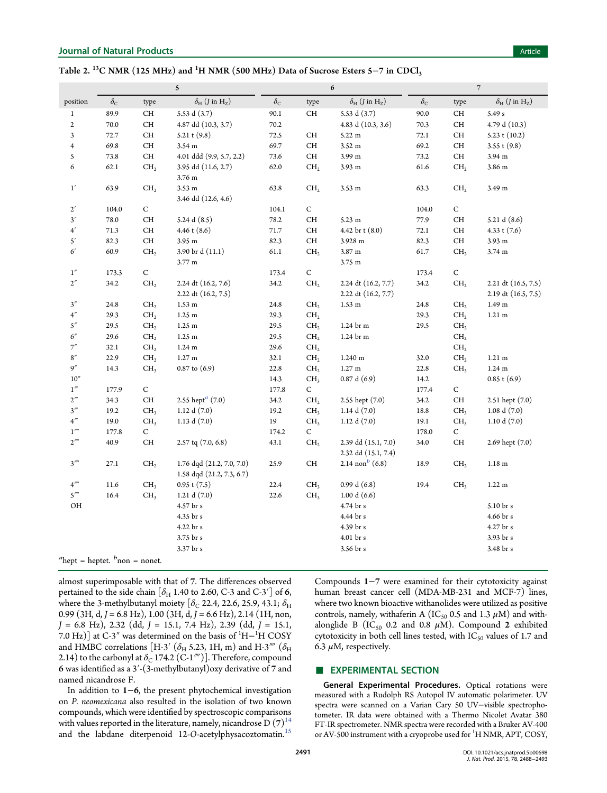<span id="page-3-0"></span>Table 2.  $^{13}$ C NMR (125 MHz) and  $^{1}$ H NMR (500 MHz) Data of Sucrose Esters 5−7 in CDCl $_{3}$ 

|                                                      |                  |                 | 5                                                      |                  |                 | 6                                          |                  |                     | $\overline{7}$                     |
|------------------------------------------------------|------------------|-----------------|--------------------------------------------------------|------------------|-----------------|--------------------------------------------|------------------|---------------------|------------------------------------|
| position                                             | $\delta_{\rm C}$ | type            | $\delta_{\rm H}$ ( <i>J</i> in $\rm H_Z$ )             | $\delta_{\rm C}$ | type            | $\delta_{\rm H}$ (J in ${\rm H_2})$        | $\delta_{\rm C}$ | type                | $\delta_{\rm H}$ (J in $\rm H_Z$ ) |
| $\,1$                                                | 89.9             | <b>CH</b>       | 5.53 d $(3.7)$                                         | 90.1             | $\rm CH$        | 5.53 d (3.7)                               | 90.0             | CH                  | 5.49 s                             |
| $\overline{c}$                                       | 70.0             | CH              | 4.87 dd (10.3, 3.7)                                    | 70.2             |                 | 4.83 d (10.3, 3.6)                         | 70.3             | CH                  | 4.79 d (10.3)                      |
| 3                                                    | 72.7             | CH              | $5.21$ t $(9.8)$                                       | 72.5             | CH              | 5.22 m                                     | 72.1             | CH                  | $5.23$ t $(10.2)$                  |
| $\overline{4}$                                       | 69.8             | CH              | 3.54 m                                                 | 69.7             | CH              | 3.52 m                                     | 69.2             | CH                  | $3.55$ t $(9.8)$                   |
| 5                                                    | 73.8             | <b>CH</b>       | 4.01 ddd (9.9, 5.7, 2.2)                               | 73.6             | CH              | $3.99 \text{ m}$                           | 73.2             | CH                  | 3.94 m                             |
| 6                                                    | 62.1             | CH <sub>2</sub> | 3.95 dd (11.6, 2.7)<br>3.76 m                          | 62.0             | CH <sub>2</sub> | 3.93 m                                     | 61.6             | CH <sub>2</sub>     | 3.86 m                             |
| $1^{\prime}$                                         | 63.9             | CH <sub>2</sub> | 3.53 m<br>3.46 dd (12.6, 4.6)                          | 63.8             | CH <sub>2</sub> | $3.53~\mathrm{m}$                          | 63.3             | CH <sub>2</sub>     | 3.49 m                             |
| $2^{\prime}$                                         | 104.0            | C               |                                                        | 104.1            | $\mathsf C$     |                                            | 104.0            | C                   |                                    |
| $3^{\prime}$                                         | 78.0             | CH              | 5.24 d $(8.5)$                                         | 78.2             | CH              | $5.23 \text{ m}$                           | 77.9             | CH                  | 5.21 d $(8.6)$                     |
| $4^\prime$                                           | 71.3             | CH              | 4.46 t $(8.6)$                                         | 71.7             | CH              | 4.42 br $t(8.0)$                           | 72.1             | $\operatorname{CH}$ | 4.33 t $(7.6)$                     |
| $\mathsf{S}'$                                        | 82.3             | CH              | 3.95 m                                                 | 82.3             | CH              | 3.928 m                                    | 82.3             | CH                  | 3.93 m                             |
| $6^{\prime}$                                         | 60.9             | CH <sub>2</sub> | 3.90 br d (11.1)<br>3.77 m                             | 61.1             | CH <sub>2</sub> | 3.87 <sub>m</sub><br>3.75 m                | 61.7             | CH <sub>2</sub>     | $3.74 \text{ m}$                   |
| $1^{\prime\prime}$                                   | 173.3            | $\mathsf{C}$    |                                                        | 173.4            | $\mathsf C$     |                                            | 173.4            | C                   |                                    |
| 2''                                                  | 34.2             | CH <sub>2</sub> | 2.24 dt (16.2, 7.6)                                    | 34.2             | CH <sub>2</sub> | 2.24 dt (16.2, 7.7)                        | 34.2             | CH <sub>2</sub>     | 2.21 dt (16.5, 7.5)                |
|                                                      |                  |                 | 2.22 dt (16.2, 7.5)                                    |                  |                 | 2.22 dt $(16.2, 7.7)$                      |                  |                     | $2.19$ dt $(16.5, 7.5)$            |
| 3''                                                  | 24.8             | CH <sub>2</sub> | $1.53 \text{ m}$                                       | 24.8             | CH <sub>2</sub> | $1.53 \text{ m}$                           | 24.8             | CH <sub>2</sub>     | 1.49 m                             |
| 4''                                                  | 29.3             | CH <sub>2</sub> | $1.25 \text{ m}$                                       | 29.3             | CH <sub>2</sub> |                                            | 29.3             | CH <sub>2</sub>     | $1.21 \text{ m}$                   |
| 5''                                                  | 29.5             | CH <sub>2</sub> | $1.25 \text{ m}$                                       | 29.5             | CH <sub>2</sub> | 1.24 br m                                  | 29.5             | CH <sub>2</sub>     |                                    |
| 6''                                                  | 29.6             | CH <sub>2</sub> | $1.25 \text{ m}$                                       | 29.5             | CH <sub>2</sub> | 1.24 br m                                  |                  | CH <sub>2</sub>     |                                    |
| 7''                                                  | 32.1             | CH <sub>2</sub> | $1.24 \text{ m}$                                       | 29.6             | CH <sub>2</sub> |                                            |                  | CH <sub>2</sub>     |                                    |
| $8^{\prime\prime}$                                   | 22.9             | CH <sub>2</sub> | $1.27 \text{ m}$                                       | 32.1             | CH <sub>2</sub> | 1.240 m                                    | 32.0             | CH <sub>2</sub>     | $1.21 \text{ m}$                   |
| 9''                                                  | 14.3             | CH <sub>3</sub> | $0.87$ to $(6.9)$                                      | 22.8             | CH <sub>2</sub> | $1.27 \text{ m}$                           | 22.8             | CH <sub>3</sub>     | $1.24 \text{ m}$                   |
| 10''                                                 |                  |                 |                                                        | 14.3             | CH <sub>3</sub> | 0.87 d(6.9)                                | 14.2             |                     | $0.85$ t $(6.9)$                   |
| 1'''                                                 | 177.9            | $\mathsf C$     |                                                        | 177.8            | $\mathsf C$     |                                            | 177.4            | $\mathsf{C}$        |                                    |
| $2^{\prime\prime\prime}$                             | 34.3             | CH              | 2.55 hept <sup><math>a</math></sup> (7.0)              | 34.2             | CH <sub>2</sub> | 2.55 hept $(7.0)$                          | 34.2             | CH                  | $2.51$ hept $(7.0)$                |
| $3^{\prime\prime\prime}$                             | 19.2             | CH <sub>3</sub> | 1.12 d $(7.0)$                                         | 19.2             | CH <sub>3</sub> | 1.14 $d(7.0)$                              | 18.8             | CH <sub>3</sub>     | 1.08 d(7.0)                        |
| $4^{\prime\prime\prime}$                             | 19.0             | CH <sub>3</sub> | 1.13 d $(7.0)$                                         | 19               | CH <sub>3</sub> | 1.12 $d(7.0)$                              | 19.1             | CH <sub>3</sub>     | 1.10 $d(7.0)$                      |
| 1'''                                                 | 177.8            | C               |                                                        | 174.2            | C               |                                            | 178.0            | C                   |                                    |
| $2^{\prime\prime\prime\prime}$                       | 40.9             | <b>CH</b>       | 2.57 tq (7.0, 6.8)                                     | 43.1             | CH <sub>2</sub> | 2.39 dd (15.1, 7.0)<br>2.32 dd (15.1, 7.4) | 34.0             | CH                  | 2.69 hept (7.0)                    |
| $3''''$                                              | 27.1             | CH <sub>2</sub> | 1.76 dqd (21.2, 7.0, 7.0)<br>1.58 dqd (21.2, 7.3, 6.7) | 25.9             | CH              | 2.14 non <sup>b</sup> $(6.8)$              | 18.9             | CH <sub>2</sub>     | $1.18~\mathrm{m}$                  |
| $4^{\prime\prime\prime\prime}$                       | 11.6             | CH <sub>3</sub> | $0.95$ t $(7.5)$                                       | 22.4             | CH <sub>3</sub> | 0.99 d(6.8)                                | 19.4             | CH <sub>3</sub>     | $1.22 \text{ m}$                   |
| 5'''                                                 | 16.4             | CH <sub>3</sub> | 1.21 d $(7.0)$                                         | 22.6             | CH <sub>3</sub> | 1.00 d(6.6)                                |                  |                     |                                    |
| OH                                                   |                  |                 | 4.57 br s                                              |                  |                 | 4.74 br s                                  |                  |                     | 5.10 br s                          |
|                                                      |                  |                 | 4.35 br s                                              |                  |                 | 4.44 br s                                  |                  |                     | 4.66 br s                          |
|                                                      |                  |                 | 4.22 br s                                              |                  |                 | 4.39 br s                                  |                  |                     | 4.27 br s                          |
|                                                      |                  |                 | 3.75 br s                                              |                  |                 | 4.01 br s                                  |                  |                     | 3.93 br s                          |
|                                                      |                  |                 | 3.37 br s                                              |                  |                 | 3.56 br s                                  |                  |                     | 3.48 br s                          |
| <sup><i>a</i></sup> hept = heptet. $^b$ non = nonet. |                  |                 |                                                        |                  |                 |                                            |                  |                     |                                    |

almost superimposable with that of 7. The differences observed pertained to the side chain  $[\delta_H 1.40$  to 2.60, C-3 and C-3'] of 6, where the 3-methylbutanyl moiety  $[\delta_{\rm C}$  22.4, 22.6, 25.9, 43.1;  $\delta_{\rm H}$ 0.99 (3H, d, J = 6.8 Hz), 1.00 (3H, d, J = 6.6 Hz), 2.14 (1H, non,  $J = 6.8$  Hz), 2.32 (dd,  $J = 15.1$ , 7.4 Hz), 2.39 (dd,  $J = 15.1$ , 7.0 Hz)] at C-3" was determined on the basis of  $^1\mathrm{H}-^1\mathrm{H}$  COSY and HMBC correlations [H-3' ( $\delta_H$  5.23, 1H, m) and H-3<sup>*m*</sup> ( $\delta_H$ 2.14) to the carbonyl at  $\delta_C$  174.2 (C-1<sup> $''''$ </sup>)]. Therefore, compound 6 was identified as a 3′-(3-methylbutanyl)oxy derivative of 7 and named nicandrose F.

In addition to 1−6, the present phytochemical investigation on P. neomexicana also resulted in the isolation of two known compounds, which were identified by spectroscopic comparisons with values reported in the literature, namely, nicandrose D  $(7)^{14}$ and the labdane diterpenoid 12-O-acetylphysacoztomatin.<sup>15</sup>

Compounds 1−7 were examined for their cytotoxicity against human breast cancer cell (MDA-MB-231 and MCF-7) lines, where two known bioactive withanolides were utilized as positive controls, namely, withaferin A (IC<sub>50</sub> 0.5 and 1.3  $\mu$ M) and withalonglide B (IC<sub>50</sub> 0.2 and 0.8  $\mu$ M). Compound 2 exhibited cytotoxicity in both cell lines tested, with  $IC_{50}$  values of 1.7 and 6.3  $\mu$ M, respectively.

# **EXPERIMENTAL SECTION**

General Experimental Procedures. Optical rotations were measured with a Rudolph RS Autopol IV automatic polarimeter. UV spectra were scanned on a Varian Cary 50 UV−visible spectrophotometer. IR data were obtained with a Thermo Nicolet Avatar 380 FT-IR spectrometer. NMR spectra were recorded with a Bruker AV-400 or AV-500 instrument with a cryoprobe used for  $^1\mathrm{H}$  NMR, APT, COSY,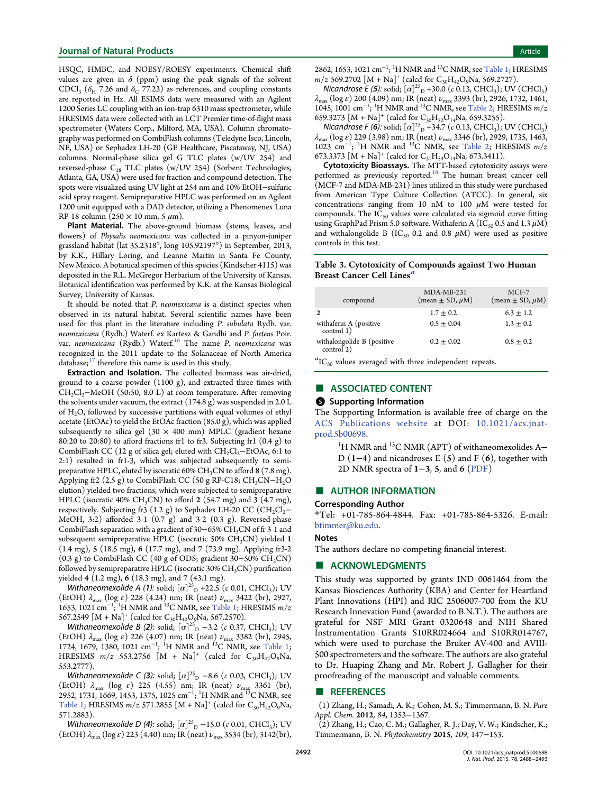<span id="page-4-0"></span>HSQC, HMBC, and NOESY/ROESY experiments. Chemical shift values are given in  $\delta$  (ppm) using the peak signals of the solvent CDCl<sub>3</sub> ( $\delta$ <sub>H</sub> 7.26 and  $\delta$ <sub>C</sub> 77.23) as references, and coupling constants are reported in Hz. All ESIMS data were measured with an Agilent 1200 Series LC coupling with an ion-trap 6310 mass spectrometer, while HRESIMS data were collected with an LCT Premier time-of-flight mass spectrometer (Waters Corp., Milford, MA, USA). Column chromatography was performed on CombiFlash columns (Teledyne Isco, Lincoln, NE, USA) or Sephadex LH-20 (GE Healthcare, Piscataway, NJ, USA) columns. Normal-phase silica gel G TLC plates (w/UV 254) and reversed-phase  $C_{18}$  TLC plates (w/UV 254) (Sorbent Technologies, Atlanta, GA, USA) were used for fraction and compound detection. The spots were visualized using UV light at 254 nm and 10% EtOH−sulfuric acid spray reagent. Semipreparative HPLC was performed on an Agilent 1200 unit equipped with a DAD detector, utilizing a Phenomenex Luna RP-18 column  $(250 \times 10 \text{ mm}, 5 \mu \text{m})$ .

Plant Material. The above-ground biomass (stems, leaves, and flowers) of Physalis neomexicana was collected in a pinyon-juniper grassland habitat (lat 35.2318°, long 105.92197°) in September, 2013, by K.K., Hillary Loring, and Leanne Martin in Santa Fe County, New Mexico. A botanical specimen of this species (Kindscher 4115) was deposited in the R.L. McGregor Herbarium of the University of Kansas. Botanical identification was performed by K.K. at the Kansas Biological Survey, University of Kansas.

It should be noted that P. neomexicana is a distinct species when observed in its natural habitat. Several scientific names have been used for this plant in the literature including P. subulata Rydb. var. neomexicana (Rydb.) Waterf. ex Kartesz & Gandhi and P. foetens Poir. var. neomexicana (Rydb.) Waterf.<sup>16</sup> The name P. neomexicana was recognized in the 2011 update to the Solanaceae of North America database; $17$  therefore this name is [use](#page-5-0)d in this study.

Extraction and Isolation. The collected biomass was air-dried, ground t[o](#page-5-0) a coarse powder (1100 g), and extracted three times with CH<sub>2</sub>Cl<sub>2</sub>−MeOH (50:50, 8.0 L) at room temperature. After removing the solvents under vacuum, the extract (174.8 g) was suspended in 2.0 L of  $H<sub>2</sub>O$ , followed by successive partitions with equal volumes of ethyl acetate ( $EtOAc$ ) to yield the  $EtOAc$  fraction  $(85.0 g)$ , which was applied subsequently to silica gel  $(30 \times 400 \text{ mm})$  MPLC (gradient hexane 80:20 to 20:80) to afford fractions fr1 to fr3. Subjecting fr1 (0.4 g) to CombiFlash CC (12 g of silica gel; eluted with CH<sub>2</sub>Cl<sub>2</sub>−EtOAc, 6:1 to 2:1) resulted in fr1-3, which was subjected subsequently to semipreparative HPLC, eluted by isocratic 60% CH<sub>3</sub>CN to afford 8 (7.8 mg). Applying fr2 (2.5 g) to CombiFlash CC (50 g RP-C18;  $CH_3CN-H_2O$ elution) yielded two fractions, which were subjected to semipreparative HPLC (isocratic 40% CH<sub>3</sub>CN) to afford 2 (54.7 mg) and 3 (4.7 mg), respectively. Subjecting fr3 (1.2 g) to Sephadex LH-20 CC (CH<sub>2</sub>Cl<sub>2</sub>− MeOH, 3:2) afforded 3-1 (0.7 g) and 3-2 (0.3 g). Reversed-phase CombiFlash separation with a gradient of 30–65% CH<sub>3</sub>CN of fr 3-1 and subsequent semipreparative HPLC (isocratic 50%  $CH<sub>3</sub>CN$ ) yielded 1 (1.4 mg), 5 (18.5 mg), 6 (17.7 mg), and 7 (73.9 mg). Applying fr3-2 (0.3 g) to CombiFlash CC (40 g of ODS; gradient 30–50% CH<sub>3</sub>CN) followed by semipreparative HPLC (isocratic 30% CH<sub>3</sub>CN) purification yielded 4 (1.2 mg), 6 (18.3 mg), and 7 (43.1 mg).

Withaneomexolide A (1): solid;  $[\alpha]^{25}$ <sub>D</sub> +22.5 (c 0.01, CHCl<sub>3</sub>); UV (EtOH)  $\lambda_{\text{max}}$  (log  $\varepsilon$ ) 228 (4.24) nm; IR (neat)  $\nu_{\text{max}}$  3422 (br), 2927, 1653, 1021 cm<sup>-1</sup>; <sup>1</sup>H NMR and <sup>13</sup>C NMR, see Table 1; HRESIMS  $m/z$ 567.2549  $[M + Na]^+$  (calcd for  $C_{30}H_{40}O_9N$ a, 567.2570).

Withaneomexolide B (2): solid;  $\left[\alpha\right]^{25}$   $\sim$  -3.2 (c 0.37, CHCl<sub>3</sub>); UV (EtOH)  $\lambda_{\text{max}}$  (log  $\varepsilon$ ) 226 (4.07) nm; IR (nea[t\)](#page-1-0)  $\nu_{\text{max}}$  3382 (br), 2945, 1724, 1679, 1380, 1021 cm<sup>-1</sup>; <sup>1</sup>H NMR and <sup>13</sup>C NMR, see Table 1; HRESIMS  $m/z$  553.2756 [M + Na]<sup>+</sup> (calcd for C<sub>30</sub>H<sub>42</sub>O<sub>8</sub>Na, 553.2777).

Withaneomexolide C (3): solid;  $\left[\alpha\right]^{25}$ <sub>D</sub> –8.6 (c 0.03, CHCl<sub>3</sub>); [UV](#page-1-0) (EtOH)  $\lambda_{\text{max}}$  (log  $\varepsilon$ ) 225 (4.55) nm; IR (neat)  $\nu_{\text{max}}$  3361 (br), 2952, 1731, 1669, 1453, 1375, 1025 cm<sup>−1</sup>; <sup>1</sup>H NMR and <sup>13</sup>C NMR, see Table 1; HRESIMS  $m/z$  571.2855  $[M + Na]^+$  (calcd for  $C_{30}H_{42}O_9Na$ , 571.2883).

Withaneomexolide D (4): solid;  $\left[\alpha\right]^{25}$ <sub>D</sub>  $-15.0$  (c 0.01, CHCl<sub>3</sub>); UV [\(EtOH\)](#page-1-0)  $\lambda_{\text{max}}$  (log  $\varepsilon$ ) 223 (4.40) nm; IR (neat)  $\nu_{\text{max}}$ 3534 (br), 3142(br),

2862, 1653, 1021 cm<sup>−1</sup>; <sup>1</sup>H NMR and <sup>13</sup>C NMR, see Table 1; HRESIMS  $m/z$  569.2702 [M + Na]<sup>+</sup> (calcd for C<sub>30</sub>H<sub>42</sub>O<sub>9</sub>Na, 569.2727).

Nicandrose E (5): solid;  $\left[\alpha\right]_{D}^{25}$  +30.0 (c 0.13, CHCl<sub>3</sub>); UV (CHCl<sub>3</sub>)  $\lambda_{\text{max}}$  (log  $\varepsilon$ ) 200 (4.09) nm; IR (neat)  $\nu_{\text{max}}$  3393 (br[\), 2926,](#page-1-0) 1732, 1461, 1045, 1001 cm<sup>-1</sup>; <sup>1</sup>H NMR and <sup>13</sup>C NMR, see Table 2; HRESIMS  $m/z$ 659.3273  $[M + Na]^+$  (calcd for  $C_{30}H_{52}O_{14}Na$ , 659.3255).

Nicandrose F (6): solid;  $[\alpha]^{25}$   $\frac{1}{2}$  +34.7 (c 0.13, CHCl<sub>3</sub>); UV (CHCl<sub>3</sub>)  $\lambda_{\text{max}}$  (log  $\varepsilon$ ) [2](#page-3-0)29 (3.98) nm; IR (neat)  $\nu_{\text{max}}$  334[6](#page-3-0) [\(br\),](#page-3-0) 2929, 1735, 1463, 1023 cm<sup>-1</sup>; <sup>1</sup>H NMR and <sup>13</sup>C NMR, see Table 2; HRESIMS  $m/z$ 673.3373  $[M + Na]^+$  (calcd for  $C_{31}H_{54}O_{14}Na$ , 673.3411).

Cytotoxicity Bioassays. The MTT-based cytotoxicity assays were performed as previously reported.<sup>18</sup> The [human b](#page-3-0)reast cancer cell (MCF-7 and MDA-MB-231) lines utilized in this study were purchased from American Type Culture C[olle](#page-5-0)ction (ATCC). In general, six concentrations ranging from 10 nM to 100  $\mu$ M were tested for compounds. The  $IC_{50}$  values were calculated via sigmoid curve fitting using GraphPad Prism 5.0 software. Withaferin A (IC<sub>50</sub> 0.5 and 1.3  $\mu$ M) and withalongolide B (IC<sub>50</sub> 0.2 and 0.8  $\mu$ M) were used as positive controls in this test.

#### Table 3. Cytotoxicity of Compounds against Two Human Breast Cancer Cell Lines<sup>a</sup>

| compound                                   | $MDA-MB-231$<br>$(\text{mean} \pm \text{SD}, \mu\text{M})$ | MCF-7<br>$(\text{mean} \pm \text{SD}, \mu\text{M})$ |  |  |
|--------------------------------------------|------------------------------------------------------------|-----------------------------------------------------|--|--|
| $\mathbf{2}$                               | $1.7 + 0.2$                                                | $6.3 \pm 1.2$                                       |  |  |
| withaferin A (positive<br>control 1)       | $0.5 + 0.04$                                               | $1.3 \pm 0.2$                                       |  |  |
| withalongolide B (positive<br>$control$ 2) | $0.2 + 0.02$                                               | $0.8 + 0.2$                                         |  |  |

 ${}^{a}IC_{50}$  values averaged with three independent repeats.

#### ■ ASSOCIATED CONTENT

#### **8** Supporting Information

The Supporting Information is available free of charge on the ACS Publications website at DOI: 10.1021/acs.jnatprod.5b00698.

<sup>1</sup>[H NMR and](http://pubs.acs.org) <sup>13</sup>C NMR (APT) of wit[haneomexolides A](http://pubs.acs.org/doi/abs/10.1021/acs.jnatprod.5b00698)– [D \(](http://pubs.acs.org/doi/abs/10.1021/acs.jnatprod.5b00698)1–4) and nicandroses E (5) and F (6), together with 2D NMR spectra of 1−3, 5, and 6 (PDF)

#### ■ AUTHOR INFORMATION

#### Corresponding Author

\*Tel: +01-785-864-4844. Fax: +01-785-864-5326. E-mail: btimmer@ku.edu.

# Notes

[The authors decla](mailto:btimmer@ku.edu)re no competing financial interest.

#### ■ ACKNOWLEDGMENTS

This study was supported by grants IND 0061464 from the Kansas Biosciences Authority (KBA) and Center for Heartland Plant Innovations (HPI) and RIC 2506007-700 from the KU Research Innovation Fund (awarded to B.N.T.). The authors are grateful for NSF MRI Grant 0320648 and NIH Shared Instrumentation Grants S10RR024664 and S10RR014767, which were used to purchase the Bruker AV-400 and AVIII-500 spectrometers and the software. The authors are also grateful to Dr. Huaping Zhang and Mr. Robert J. Gallagher for their proofreading of the manuscript and valuable comments. ■ REFERENCES

(1) Zhang, H.; Samadi, A. K.; Cohen, M. S.; Timmermann, B. N. Pure Appl. Chem. 2012, 84, 1353−1367.

(2) Zhang, H.; Cao, C. M.; Gallagher, R. J.; Day, V. W.; Kindscher, K.; Timmermann, B. N. Phytochemistry 2015, 109, 147−153.